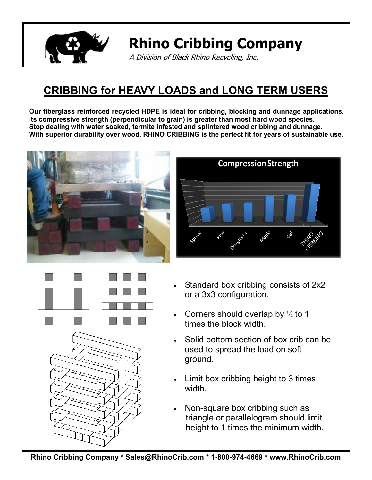

# **Rhino Cribbing Company**

A Division of Black Rhino Recycling, Inc.

## **CRIBBING for HEAVY LOADS and LONG TERM USERS**

**Our fiberglass reinforced recycled HDPE is ideal for cribbing, blocking and dunnage applications. Its compressive strength (perpendicular to grain) is greater than most hard wood species. Stop dealing with water soaked, termite infested and splintered wood cribbing and dunnage. With superior durability over wood, RHINO CRIBBING is the perfect fit for years of sustainable use.** 









- Standard box cribbing consists of 2x2 or a 3x3 configuration.
- Corners should overlap by  $\frac{1}{2}$  to 1 times the block width.
- Solid bottom section of box crib can be used to spread the load on soft ground.
- Limit box cribbing height to 3 times width
- Non-square box cribbing such as triangle or parallelogram should limit height to 1 times the minimum width.